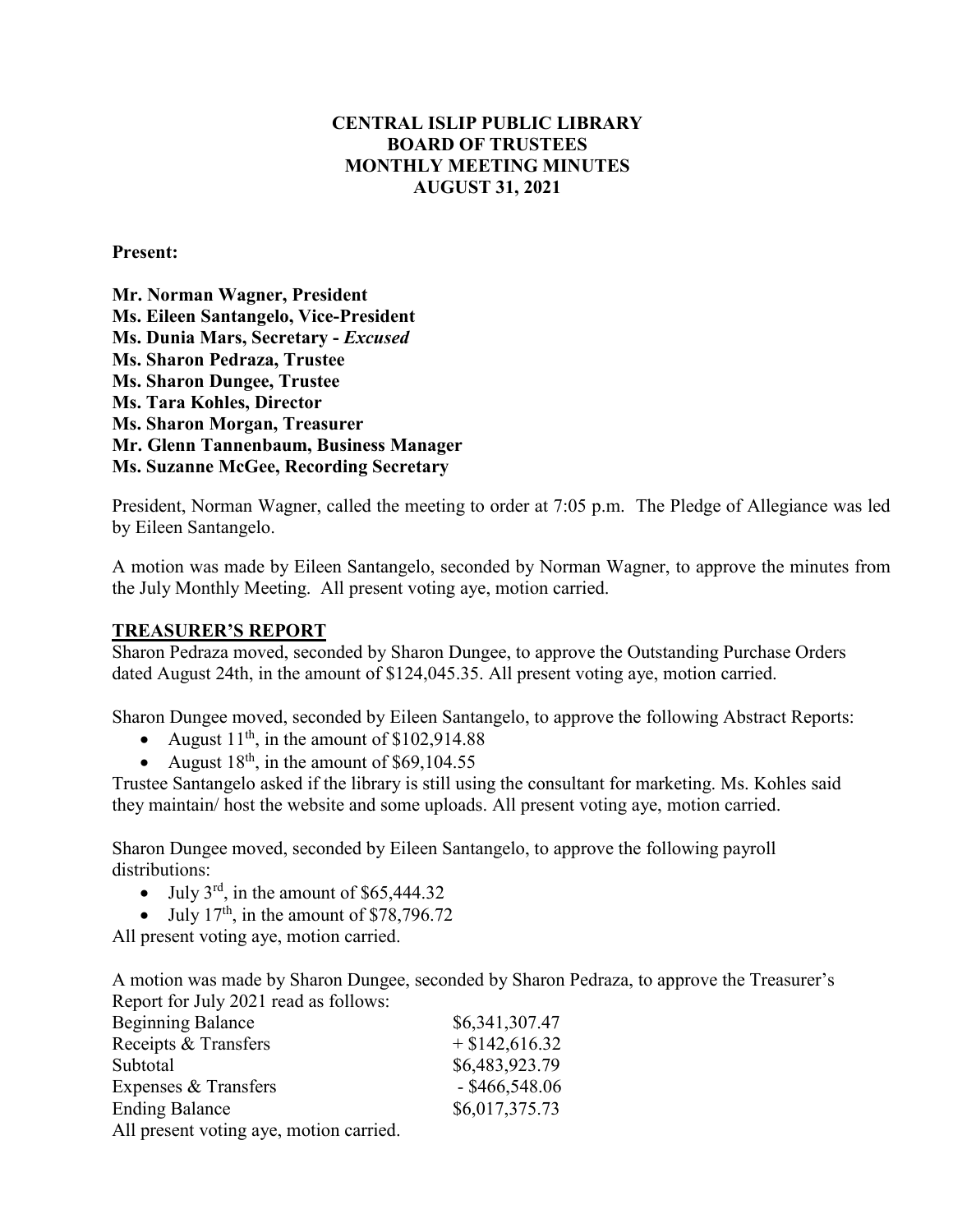### **CENTRAL ISLIP PUBLIC LIBRARY BOARD OF TRUSTEES MONTHLY MEETING MINUTES AUGUST 31, 2021**

**Present:**

**Mr. Norman Wagner, President Ms. Eileen Santangelo, Vice-President Ms. Dunia Mars, Secretary -** *Excused* **Ms. Sharon Pedraza, Trustee Ms. Sharon Dungee, Trustee Ms. Tara Kohles, Director Ms. Sharon Morgan, Treasurer Mr. Glenn Tannenbaum, Business Manager Ms. Suzanne McGee, Recording Secretary**

President, Norman Wagner, called the meeting to order at 7:05 p.m. The Pledge of Allegiance was led by Eileen Santangelo.

A motion was made by Eileen Santangelo, seconded by Norman Wagner, to approve the minutes from the July Monthly Meeting. All present voting aye, motion carried.

#### **TREASURER'S REPORT**

Sharon Pedraza moved, seconded by Sharon Dungee, to approve the Outstanding Purchase Orders dated August 24th, in the amount of \$124,045.35. All present voting aye, motion carried.

Sharon Dungee moved, seconded by Eileen Santangelo, to approve the following Abstract Reports:

- August  $11<sup>th</sup>$ , in the amount of \$102,914.88
- August  $18<sup>th</sup>$ , in the amount of \$69,104.55

Trustee Santangelo asked if the library is still using the consultant for marketing. Ms. Kohles said they maintain/ host the website and some uploads. All present voting aye, motion carried.

Sharon Dungee moved, seconded by Eileen Santangelo, to approve the following payroll distributions:

- July  $3^{\text{rd}}$ , in the amount of \$65,444.32
- July  $17<sup>th</sup>$ , in the amount of \$78,796.72

All present voting aye, motion carried.

A motion was made by Sharon Dungee, seconded by Sharon Pedraza, to approve the Treasurer's Report for July 2021 read as follows:

| <b>Beginning Balance</b>              | \$6,341,307.47   |
|---------------------------------------|------------------|
| Receipts & Transfers                  | $+$ \$142,616.32 |
| Subtotal                              | \$6,483,923.79   |
| Expenses & Transfers                  | $-$ \$466,548.06 |
| <b>Ending Balance</b>                 | \$6,017,375.73   |
| All propont voting ave motion corried |                  |

All present voting aye, motion carried.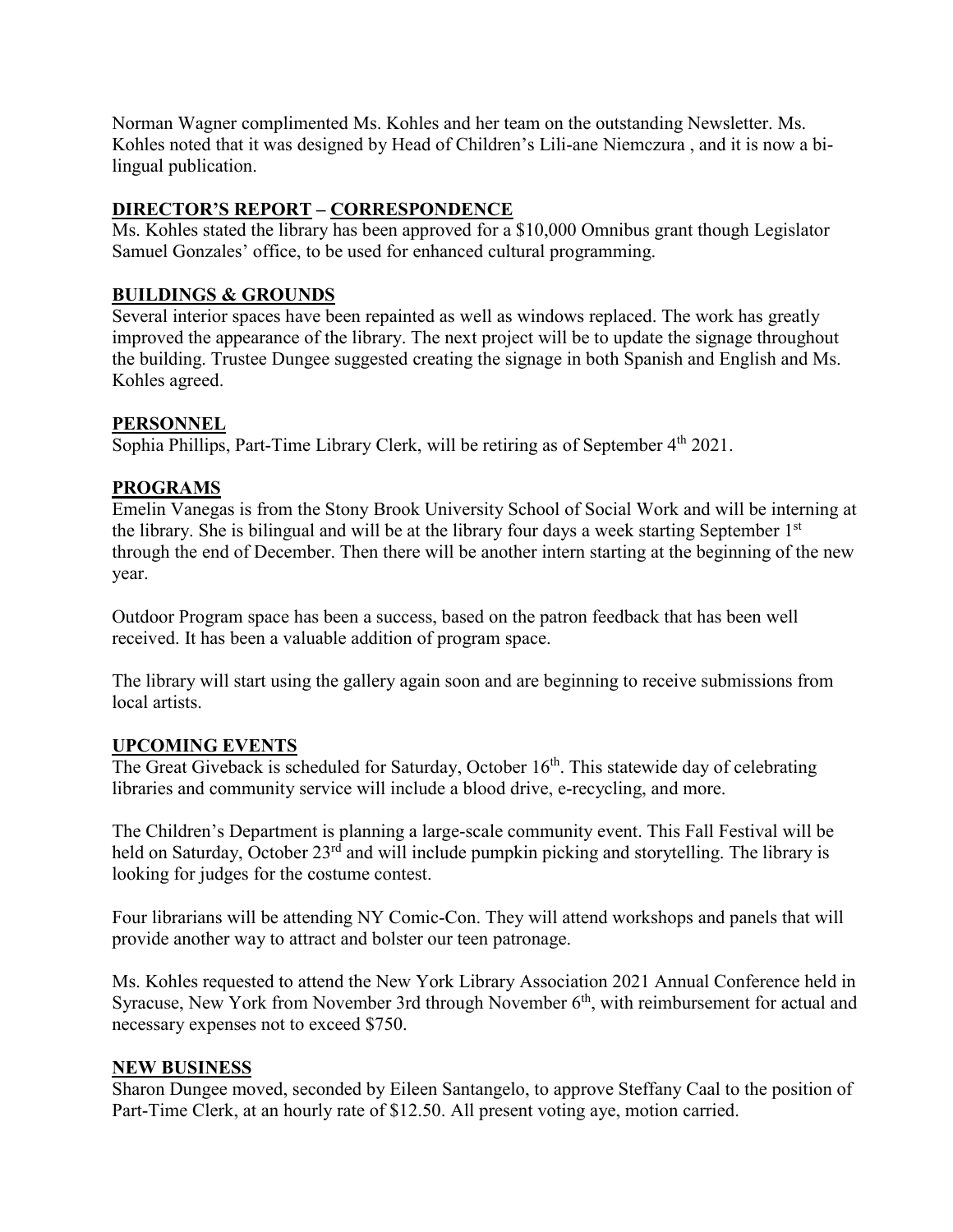Norman Wagner complimented Ms. Kohles and her team on the outstanding Newsletter. Ms. Kohles noted that it was designed by Head of Children's Lili-ane Niemczura , and it is now a bilingual publication.

# **DIRECTOR'S REPORT – CORRESPONDENCE**

Ms. Kohles stated the library has been approved for a \$10,000 Omnibus grant though Legislator Samuel Gonzales' office, to be used for enhanced cultural programming.

## **BUILDINGS & GROUNDS**

Several interior spaces have been repainted as well as windows replaced. The work has greatly improved the appearance of the library. The next project will be to update the signage throughout the building. Trustee Dungee suggested creating the signage in both Spanish and English and Ms. Kohles agreed.

### **PERSONNEL**

Sophia Phillips, Part-Time Library Clerk, will be retiring as of September 4<sup>th</sup> 2021.

### **PROGRAMS**

Emelin Vanegas is from the Stony Brook University School of Social Work and will be interning at the library. She is bilingual and will be at the library four days a week starting September 1st through the end of December. Then there will be another intern starting at the beginning of the new year.

Outdoor Program space has been a success, based on the patron feedback that has been well received. It has been a valuable addition of program space.

The library will start using the gallery again soon and are beginning to receive submissions from local artists.

### **UPCOMING EVENTS**

The Great Giveback is scheduled for Saturday, October  $16<sup>th</sup>$ . This statewide day of celebrating libraries and community service will include a blood drive, e-recycling, and more.

The Children's Department is planning a large-scale community event. This Fall Festival will be held on Saturday, October 23<sup>rd</sup> and will include pumpkin picking and storytelling. The library is looking for judges for the costume contest.

Four librarians will be attending NY Comic-Con. They will attend workshops and panels that will provide another way to attract and bolster our teen patronage.

Ms. Kohles requested to attend the New York Library Association 2021 Annual Conference held in Syracuse, New York from November 3rd through November 6<sup>th</sup>, with reimbursement for actual and necessary expenses not to exceed \$750.

### **NEW BUSINESS**

Sharon Dungee moved, seconded by Eileen Santangelo, to approve Steffany Caal to the position of Part-Time Clerk, at an hourly rate of \$12.50. All present voting aye, motion carried.